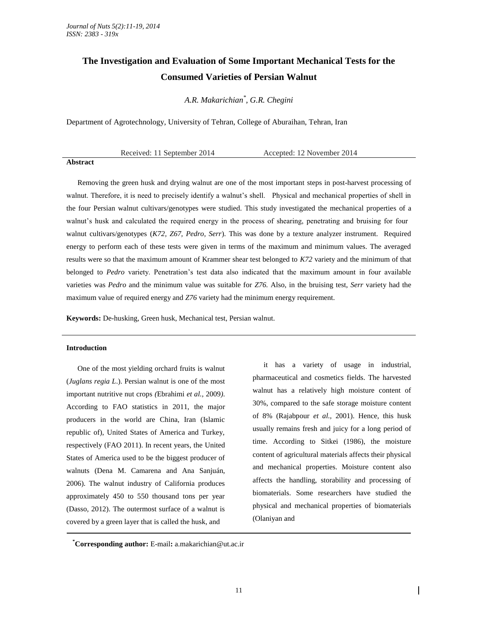# **The Investigation and Evaluation of Some Important Mechanical Tests for the Consumed Varieties of Persian Walnut**

*A.R. Makarichian\* , G.R. Chegini*

Department of Agrotechnology, University of Tehran, College of Aburaihan, Tehran, Iran

Received: 11 September 2014 Accepted: 12 November 2014

## **Abstract**

Removing the green husk and drying walnut are one of the most important steps in post-harvest processing of walnut. Therefore, it is need to precisely identify a walnut's shell. Physical and mechanical properties of shell in the four Persian walnut cultivars/genotypes were studied. This study investigated the mechanical properties of a walnut's husk and calculated the required energy in the process of shearing, penetrating and bruising for four walnut cultivars/genotypes (*K72, Z67, Pedro, Serr*). This was done by a texture analyzer instrument. Required energy to perform each of these tests were given in terms of the maximum and minimum values. The averaged results were so that the maximum amount of Krammer shear test belonged to *K72* variety and the minimum of that belonged to *Pedro* variety. Penetration's test data also indicated that the maximum amount in four available varieties was *Pedro* and the minimum value was suitable for *Z76.* Also, in the bruising test, *Serr* variety had the maximum value of required energy and *Z76* variety had the minimum energy requirement.

**Keywords:** De-husking, Green husk, Mechanical test, Persian walnut.

## **Introduction**

One of the most yielding orchard fruits is walnut (*Juglans regia L*.). Persian walnut is one of the most important nutritive nut crops *(*Ebrahimi *et al.,* 2009*)*. According to FAO statistics in 2011, the major producers in the world are China, Iran (Islamic republic of), United States of America and Turkey, respectively (FAO 2011). In recent years, the United States of America used to be the biggest producer of walnuts (Dena M. Camarena and Ana Sanjuán, 2006). The walnut industry of California produces approximately 450 to 550 thousand tons per year (Dasso*,* 2012). The outermost surface of a walnut is covered by a green layer that is called the husk, and

it has a variety of usage in industrial, pharmaceutical and cosmetics fields. The harvested walnut has a relatively high moisture content of 30%, compared to the safe storage moisture content of 8% (Rajabpour *et al.,* 2001). Hence, this husk usually remains fresh and juicy for a long period of time. According to Sitkei (1986), the moisture content of agricultural materials affects their physical and mechanical properties. Moisture content also affects the handling, storability and processing of biomaterials. Some researchers have studied the physical and mechanical properties of biomaterials (Olaniyan and

**\*Corresponding author:** E-mail**:** [a.makarichian@ut.ac.ir](mailto:a.makarichian@ut.ac.ir)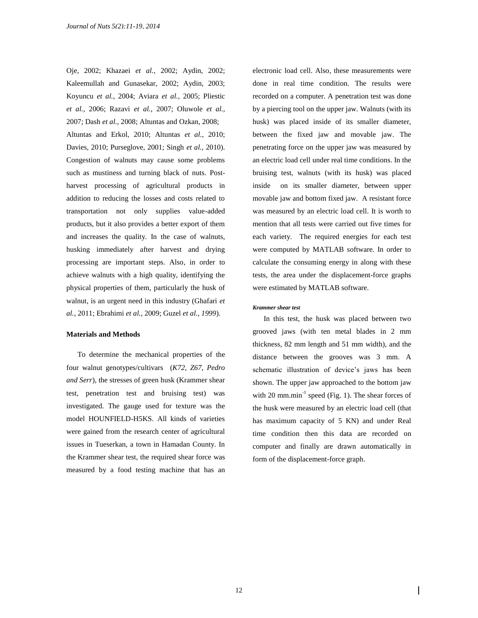Oje, 2002; Khazaei *et al.,* 2002; Aydin, 2002; Kaleemullah and Gunasekar, 2002; Aydin, 2003; Koyuncu *et al.,* 2004; Aviara *et al.,* 2005; Pliestic *et al.,* 2006; Razavi *et al.,* 2007; Oluwole *et al.,*  2007; Dash *et al.,* 2008; Altuntas and Ozkan, 2008; Altuntas and Erkol, 2010; Altuntas *et al.,* 2010; Davies, 2010; Purseglove, 2001; Singh *et al.,* 2010). Congestion of walnuts may cause some problems such as mustiness and turning black of nuts. Postharvest processing of agricultural products in addition to reducing the losses and costs related to transportation not only supplies value-added products, but it also provides a better export of them and increases the quality. In the case of walnuts, husking immediately after harvest and drying processing are important steps. Also, in order to achieve walnuts with a high quality, identifying the physical properties of them, particularly the husk of walnut, is an urgent need in this industry (Ghafari *et al.,* 2011; Ebrahimi *et al.,* 2009; Guzel *et al., 1999*).

## **Materials and Methods**

To determine the mechanical properties of the four walnut genotypes/cultivars (*K72, Z67, Pedro and Serr*), the stresses of green husk (Krammer shear test, penetration test and bruising test) was investigated. The gauge used for texture was the model HOUNFIELD-H5KS. All kinds of varieties were gained from the research center of agricultural issues in Tueserkan, a town in Hamadan County. In the Krammer shear test, the required shear force was measured by a food testing machine that has an electronic load cell. Also, these measurements were done in real time condition. The results were recorded on a computer. A penetration test was done by a piercing tool on the upper jaw. Walnuts (with its husk) was placed inside of its smaller diameter, between the fixed jaw and movable jaw. The penetrating force on the upper jaw was measured by an electric load cell under real time conditions. In the bruising test, walnuts (with its husk) was placed inside on its smaller diameter, between upper movable jaw and bottom fixed jaw. A resistant force was measured by an electric load cell. It is worth to mention that all tests were carried out five times for each variety. The required energies for each test were computed by MATLAB software. In order to calculate the consuming energy in along with these tests, the area under the displacement-force graphs were estimated by MATLAB software.

#### *Krammer shear test*

In this test, the husk was placed between two grooved jaws (with ten metal blades in 2 mm thickness, 82 mm length and 51 mm width), and the distance between the grooves was 3 mm. A schematic illustration of device's jaws has been shown. The upper jaw approached to the bottom jaw with 20 mm.min<sup>-1</sup> speed (Fig. 1). The shear forces of the husk were measured by an electric load cell (that has maximum capacity of 5 KN) and under Real time condition then this data are recorded on computer and finally are drawn automatically in form of the displacement-force graph.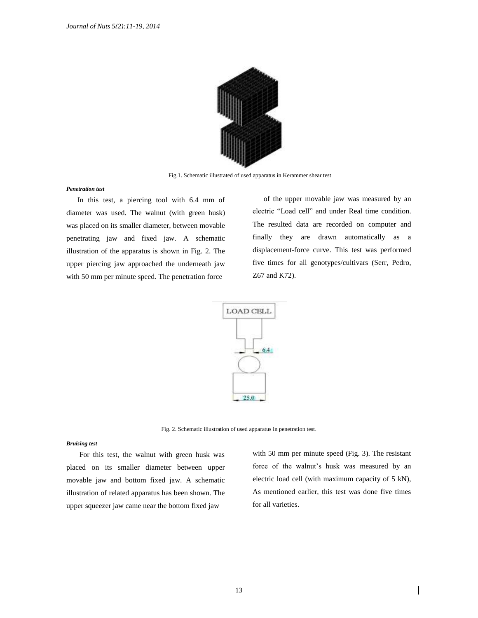

Fig.1. Schematic illustrated of used apparatus in Kerammer shear test

## *Penetration test*

In this test, a piercing tool with 6.4 mm of diameter was used. The walnut (with green husk) was placed on its smaller diameter, between movable penetrating jaw and fixed jaw. A schematic illustration of the apparatus is shown in Fig. 2. The upper piercing jaw approached the underneath jaw with 50 mm per minute speed. The penetration force

of the upper movable jaw was measured by an electric "Load cell" and under Real time condition. The resulted data are recorded on computer and finally they are drawn automatically as a displacement-force curve. This test was performed five times for all genotypes/cultivars (Serr, Pedro, Z67 and K72).



Fig. 2. Schematic illustration of used apparatus in penetration test.

## *Bruising test*

For this test, the walnut with green husk was placed on its smaller diameter between upper movable jaw and bottom fixed jaw. A schematic illustration of related apparatus has been shown. The upper squeezer jaw came near the bottom fixed jaw

with 50 mm per minute speed (Fig. 3). The resistant force of the walnut's husk was measured by an electric load cell (with maximum capacity of 5 kN), As mentioned earlier, this test was done five times for all varieties.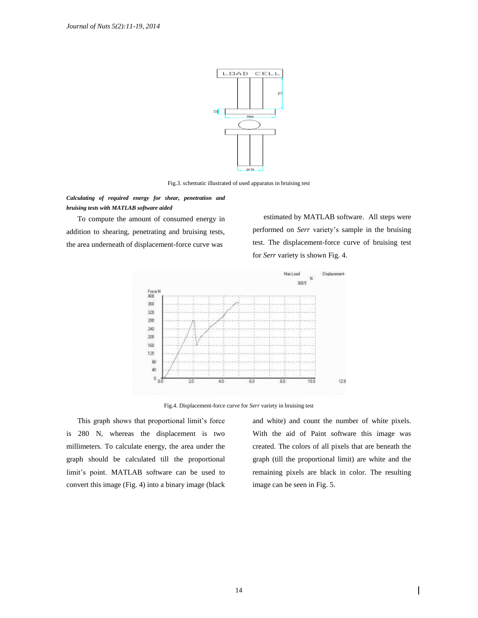

Fig.3. schematic illustrated of used apparatus in bruising test

*Calculating of required energy for shear, penetration and bruising tests with MATLAB software aided*

To compute the amount of consumed energy in addition to shearing, penetrating and bruising tests, the area underneath of displacement-force curve was

estimated by MATLAB software. All steps were performed on *Serr* variety's sample in the bruising test. The displacement-force curve of bruising test for *Serr* variety is shown Fig. 4.



Fig.4. Displacement-force curve for *Serr* variety in bruising test

This graph shows that proportional limit's force is 280 N, whereas the displacement is two millimeters. To calculate energy, the area under the graph should be calculated till the proportional limit's point. MATLAB software can be used to convert this image (Fig. 4) into a binary image (black and white) and count the number of white pixels. With the aid of Paint software this image was created. The colors of all pixels that are beneath the graph (till the proportional limit) are white and the remaining pixels are black in color. The resulting image can be seen in Fig. 5.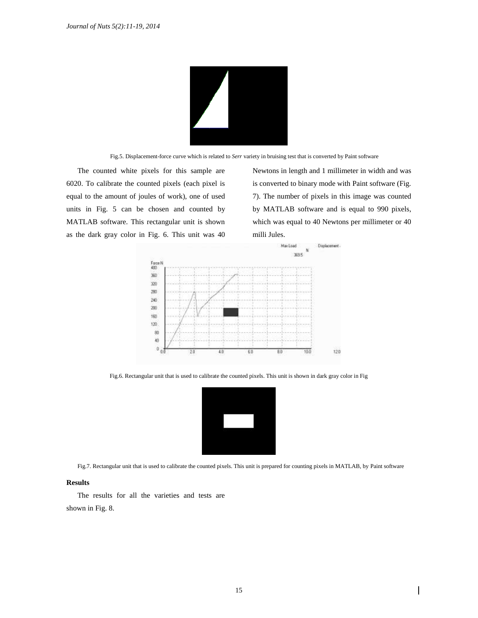

Fig.5. Displacement-force curve which is related to *Serr* variety in bruising test that is converted by Paint software

The counted white pixels for this sample are 6020. To calibrate the counted pixels (each pixel is equal to the amount of joules of work), one of used units in Fig. 5 can be chosen and counted by MATLAB software. This rectangular unit is shown as the dark gray color in Fig. 6. This unit was 40 Newtons in length and 1 millimeter in width and was is converted to binary mode with Paint software (Fig. 7). The number of pixels in this image was counted by MATLAB software and is equal to 990 pixels, which was equal to 40 Newtons per millimeter or 40 milli Jules.



Fig.6. Rectangular unit that is used to calibrate the counted pixels. This unit is shown in dark gray color in Fig



Fig.7. Rectangular unit that is used to calibrate the counted pixels. This unit is prepared for counting pixels in MATLAB, by Paint software

# **Results**

The results for all the varieties and tests are shown in Fig. 8.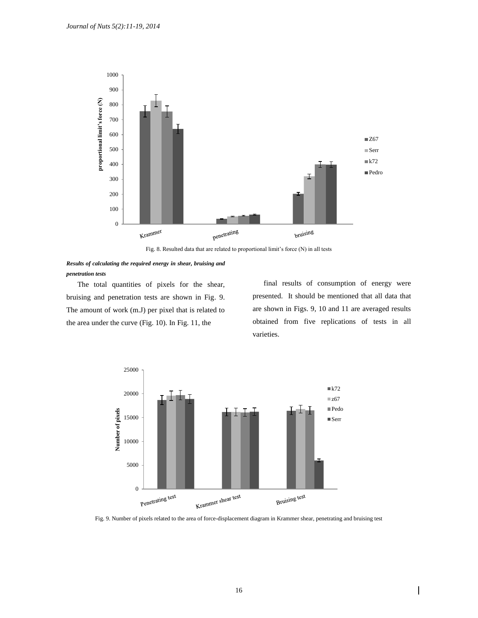

Fig. 8. Resulted data that are related to proportional limit's force (N) in all tests



The total quantities of pixels for the shear, bruising and penetration tests are shown in Fig. 9. The amount of work (m.J) per pixel that is related to the area under the curve (Fig. 10). In Fig. 11, the

final results of consumption of energy were presented. It should be mentioned that all data that are shown in Figs. 9, 10 and 11 are averaged results obtained from five replications of tests in all varieties.

 $\overline{\phantom{a}}$ 



Fig. 9. Number of pixels related to the area of force-displacement diagram in Krammer shear, penetrating and bruising test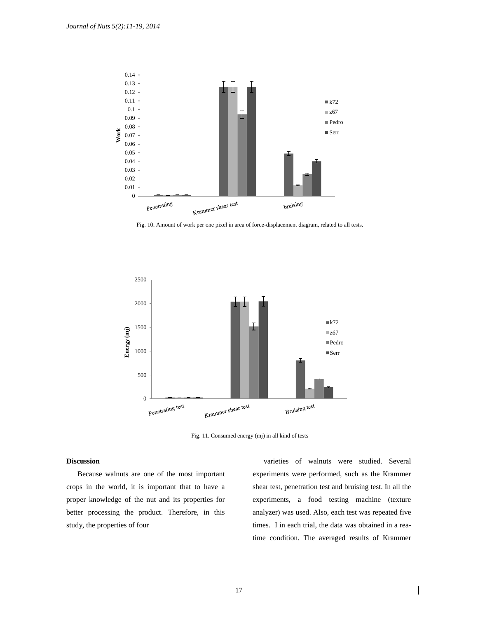

Fig. 10. Amount of work per one pixel in area of force-displacement diagram, related to all tests.



Fig. 11. Consumed energy (mj) in all kind of tests

## **Discussion**

Because walnuts are one of the most important crops in the world, it is important that to have a proper knowledge of the nut and its properties for better processing the product. Therefore, in this study, the properties of four

varieties of walnuts were studied. Several experiments were performed, such as the Krammer shear test, penetration test and bruising test. In all the experiments, a food testing machine (texture analyzer) was used. Also, each test was repeated five times. I in each trial, the data was obtained in a reatime condition. The averaged results of Krammer

 $\overline{\phantom{a}}$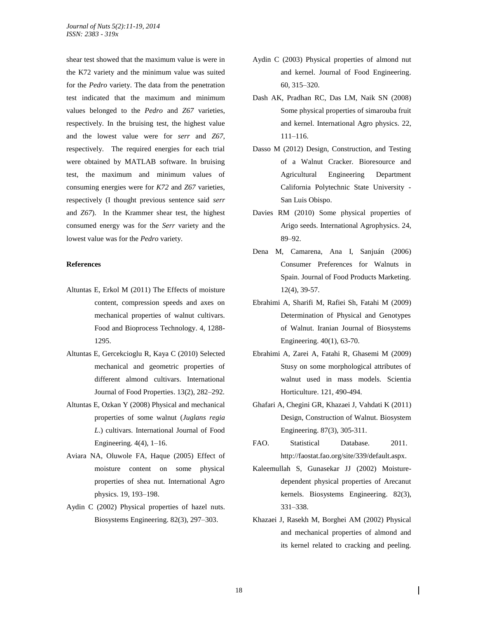shear test showed that the maximum value is were in the K72 variety and the minimum value was suited for the *Pedro* variety. The data from the penetration test indicated that the maximum and minimum values belonged to the *Pedro* and *Z67* varieties, respectively. In the bruising test, the highest value and the lowest value were for *serr* and *Z67*, respectively. The required energies for each trial were obtained by MATLAB software. In bruising test, the maximum and minimum values of consuming energies were for *K72* and *Z67* varieties, respectively (I thought previous sentence said *serr* and *Z67*). In the Krammer shear test, the highest consumed energy was for the *Serr* variety and the lowest value was for the *Pedro* variety.

## **References**

- Altuntas E, Erkol M (2011) The Effects of moisture content, compression speeds and axes on mechanical properties of walnut cultivars. Food and Bioprocess Technology. 4, 1288- 1295.
- Altuntas E, Gercekcioglu R, Kaya C (2010) Selected mechanical and geometric properties of different almond cultivars. International Journal of Food Properties. 13(2), 282–292.
- Altuntas E, Ozkan Y (2008) Physical and mechanical properties of some walnut (*Juglans regia L*.) cultivars. International Journal of Food Engineering. 4(4), 1–16.
- Aviara NA, Oluwole FA, Haque (2005) Effect of moisture content on some physical properties of shea nut. International Agro physics. 19, 193–198.
- Aydin C (2002) Physical properties of hazel nuts. Biosystems Engineering. 82(3), 297–303.
- Aydin C (2003) Physical properties of almond nut and kernel. Journal of Food Engineering. 60, 315–320.
- Dash AK, Pradhan RC, Das LM, Naik SN (2008) Some physical properties of simarouba fruit and kernel. International Agro physics. 22, 111–116.
- Dasso M (2012) Design, Construction, and Testing of a Walnut Cracker. Bioresource and Agricultural Engineering Department California Polytechnic State University - San Luis Obispo.
- Davies RM (2010) Some physical properties of Arigo seeds. International Agrophysics. 24, 89–92.
- Dena M, Camarena, Ana I, Sanjuán (2006) Consumer Preferences for Walnuts in Spain. Journal of Food Products Marketing. 12(4), 39-57.
- Ebrahimi A, Sharifi M, Rafiei Sh, Fatahi M (2009) Determination of Physical and Genotypes of Walnut. Iranian Journal of Biosystems Engineering. 40(1), 63-70.
- Ebrahimi A, Zarei A, Fatahi R, Ghasemi M (2009) Stusy on some morphological attributes of walnut used in mass models. Scientia Horticulture. 121, 490-494.
- Ghafari A, Chegini GR, Khazaei J, Vahdati K (2011) Design, Construction of Walnut. Biosystem Engineering. 87(3), 305-311.
- FAO. Statistical Database. 2011. [http://faostat.fao.org/site/339/default.aspx.](http://faostat.fao.org/site/339/default.aspx)
- Kaleemullah S, Gunasekar JJ (2002) Moisturedependent physical properties of Arecanut kernels. Biosystems Engineering. 82(3), 331–338.
- Khazaei J, Rasekh M, Borghei AM (2002) Physical and mechanical properties of almond and its kernel related to cracking and peeling.